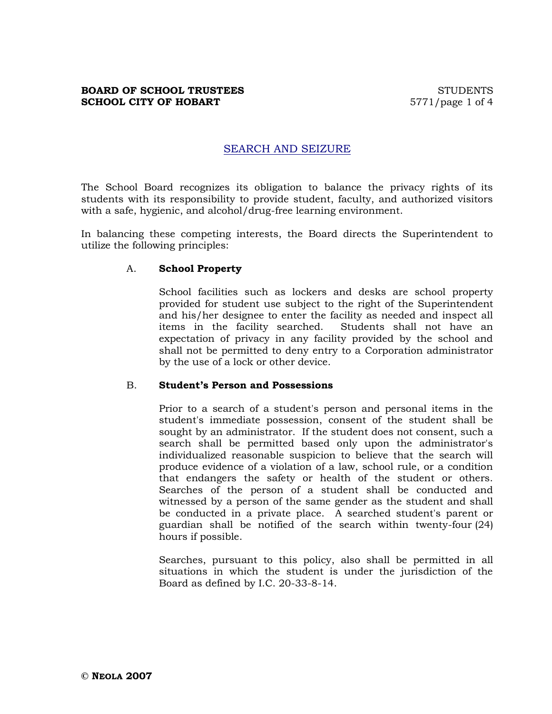# SEARCH AND SEIZURE

The School Board recognizes its obligation to balance the privacy rights of its students with its responsibility to provide student, faculty, and authorized visitors with a safe, hygienic, and alcohol/drug-free learning environment.

In balancing these competing interests, the Board directs the Superintendent to utilize the following principles:

#### A. **School Property**

School facilities such as lockers and desks are school property provided for student use subject to the right of the Superintendent and his/her designee to enter the facility as needed and inspect all items in the facility searched. Students shall not have an expectation of privacy in any facility provided by the school and shall not be permitted to deny entry to a Corporation administrator by the use of a lock or other device.

#### B. **Student's Person and Possessions**

Prior to a search of a student's person and personal items in the student's immediate possession, consent of the student shall be sought by an administrator. If the student does not consent, such a search shall be permitted based only upon the administrator's individualized reasonable suspicion to believe that the search will produce evidence of a violation of a law, school rule, or a condition that endangers the safety or health of the student or others. Searches of the person of a student shall be conducted and witnessed by a person of the same gender as the student and shall be conducted in a private place. A searched student's parent or guardian shall be notified of the search within twenty-four (24) hours if possible.

Searches, pursuant to this policy, also shall be permitted in all situations in which the student is under the jurisdiction of the Board as defined by I.C. 20-33-8-14.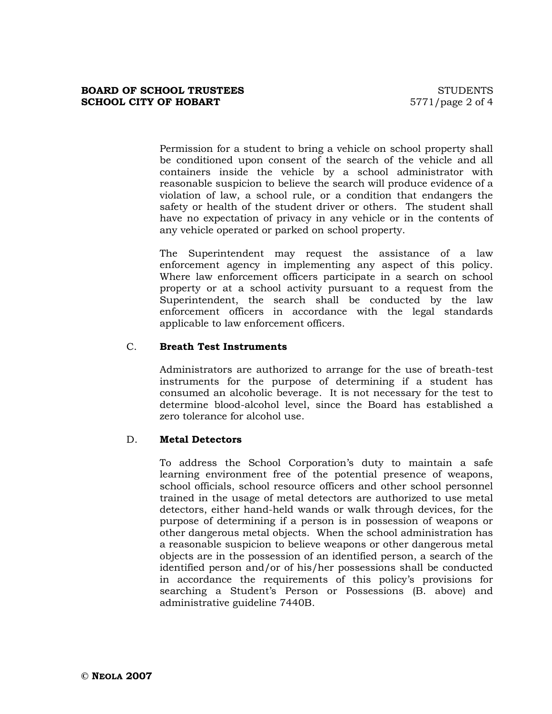Permission for a student to bring a vehicle on school property shall be conditioned upon consent of the search of the vehicle and all containers inside the vehicle by a school administrator with reasonable suspicion to believe the search will produce evidence of a violation of law, a school rule, or a condition that endangers the safety or health of the student driver or others. The student shall have no expectation of privacy in any vehicle or in the contents of any vehicle operated or parked on school property.

The Superintendent may request the assistance of a law enforcement agency in implementing any aspect of this policy. Where law enforcement officers participate in a search on school property or at a school activity pursuant to a request from the Superintendent, the search shall be conducted by the law enforcement officers in accordance with the legal standards applicable to law enforcement officers.

# C. **Breath Test Instruments**

Administrators are authorized to arrange for the use of breath-test instruments for the purpose of determining if a student has consumed an alcoholic beverage. It is not necessary for the test to determine blood-alcohol level, since the Board has established a zero tolerance for alcohol use.

# D. **Metal Detectors**

To address the School Corporation's duty to maintain a safe learning environment free of the potential presence of weapons, school officials, school resource officers and other school personnel trained in the usage of metal detectors are authorized to use metal detectors, either hand-held wands or walk through devices, for the purpose of determining if a person is in possession of weapons or other dangerous metal objects. When the school administration has a reasonable suspicion to believe weapons or other dangerous metal objects are in the possession of an identified person, a search of the identified person and/or of his/her possessions shall be conducted in accordance the requirements of this policy's provisions for searching a Student's Person or Possessions (B. above) and administrative guideline 7440B.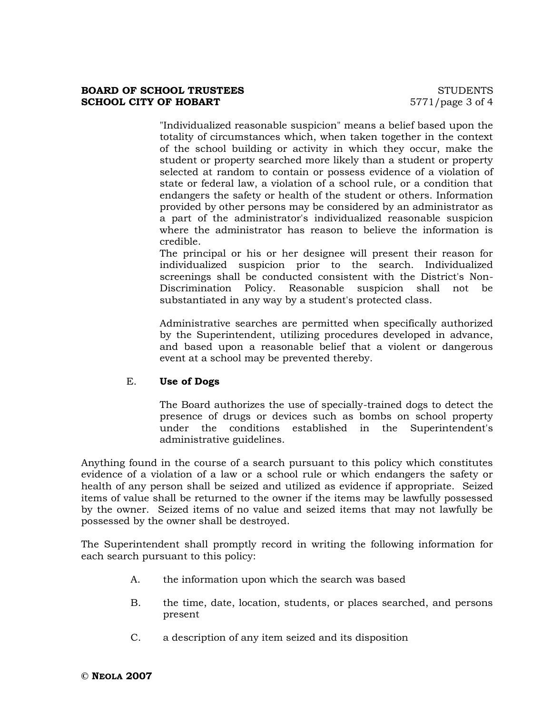"Individualized reasonable suspicion" means a belief based upon the totality of circumstances which, when taken together in the context of the school building or activity in which they occur, make the student or property searched more likely than a student or property selected at random to contain or possess evidence of a violation of state or federal law, a violation of a school rule, or a condition that endangers the safety or health of the student or others. Information provided by other persons may be considered by an administrator as a part of the administrator's individualized reasonable suspicion where the administrator has reason to believe the information is credible.

The principal or his or her designee will present their reason for individualized suspicion prior to the search. Individualized screenings shall be conducted consistent with the District's Non-Discrimination Policy. Reasonable suspicion shall not be substantiated in any way by a student's protected class.

Administrative searches are permitted when specifically authorized by the Superintendent, utilizing procedures developed in advance, and based upon a reasonable belief that a violent or dangerous event at a school may be prevented thereby.

# E. **Use of Dogs**

The Board authorizes the use of specially-trained dogs to detect the presence of drugs or devices such as bombs on school property under the conditions established in the Superintendent's administrative guidelines.

Anything found in the course of a search pursuant to this policy which constitutes evidence of a violation of a law or a school rule or which endangers the safety or health of any person shall be seized and utilized as evidence if appropriate. Seized items of value shall be returned to the owner if the items may be lawfully possessed by the owner. Seized items of no value and seized items that may not lawfully be possessed by the owner shall be destroyed.

The Superintendent shall promptly record in writing the following information for each search pursuant to this policy:

- A. the information upon which the search was based
- B. the time, date, location, students, or places searched, and persons present
- C. a description of any item seized and its disposition